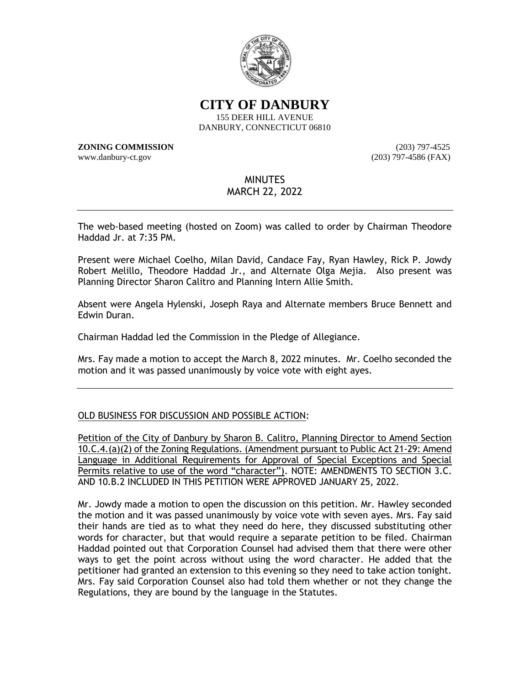

**CITY OF DANBURY**

155 DEER HILL AVENUE DANBURY, CONNECTICUT 06810

**ZONING COMMISSION** (203) 797-4525 www.danbury-ct.gov (203) 797-4586 (FAX)

# MINUTES

# MARCH 22, 2022

The web-based meeting (hosted on Zoom) was called to order by Chairman Theodore Haddad Jr. at 7:35 PM.

Present were Michael Coelho, Milan David, Candace Fay, Ryan Hawley, Rick P. Jowdy Robert Melillo, Theodore Haddad Jr., and Alternate Olga Mejia. Also present was Planning Director Sharon Calitro and Planning Intern Allie Smith.

Absent were Angela Hylenski, Joseph Raya and Alternate members Bruce Bennett and Edwin Duran.

Chairman Haddad led the Commission in the Pledge of Allegiance.

Mrs. Fay made a motion to accept the March 8, 2022 minutes. Mr. Coelho seconded the motion and it was passed unanimously by voice vote with eight ayes.

## OLD BUSINESS FOR DISCUSSION AND POSSIBLE ACTION:

Petition of the City of Danbury by Sharon B. Calitro, Planning Director to Amend Section 10.C.4.(a)(2) of the Zoning Regulations. (Amendment pursuant to Public Act 21-29: Amend Language in Additional Requirements for Approval of Special Exceptions and Special Permits relative to use of the word "character"). NOTE: AMENDMENTS TO SECTION 3.C. AND 10.B.2 INCLUDED IN THIS PETITION WERE APPROVED JANUARY 25, 2022.

Mr. Jowdy made a motion to open the discussion on this petition. Mr. Hawley seconded the motion and it was passed unanimously by voice vote with seven ayes. Mrs. Fay said their hands are tied as to what they need do here, they discussed substituting other words for character, but that would require a separate petition to be filed. Chairman Haddad pointed out that Corporation Counsel had advised them that there were other ways to get the point across without using the word character. He added that the petitioner had granted an extension to this evening so they need to take action tonight. Mrs. Fay said Corporation Counsel also had told them whether or not they change the Regulations, they are bound by the language in the Statutes.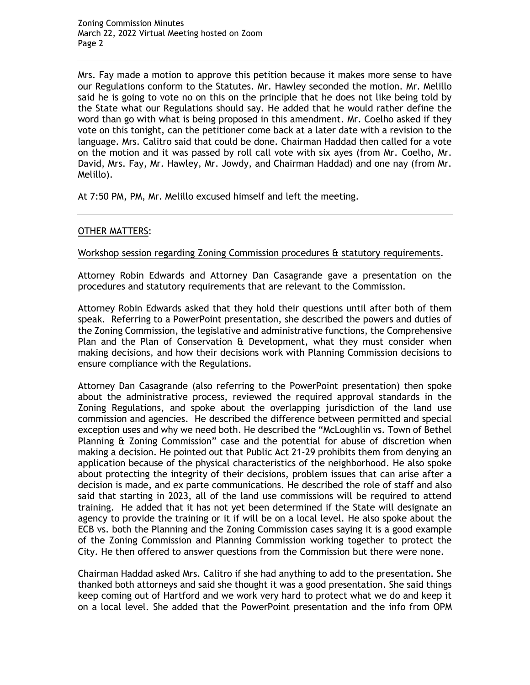Mrs. Fay made a motion to approve this petition because it makes more sense to have our Regulations conform to the Statutes. Mr. Hawley seconded the motion. Mr. Melillo said he is going to vote no on this on the principle that he does not like being told by the State what our Regulations should say. He added that he would rather define the word than go with what is being proposed in this amendment. Mr. Coelho asked if they vote on this tonight, can the petitioner come back at a later date with a revision to the language. Mrs. Calitro said that could be done. Chairman Haddad then called for a vote on the motion and it was passed by roll call vote with six ayes (from Mr. Coelho, Mr. David, Mrs. Fay, Mr. Hawley, Mr. Jowdy, and Chairman Haddad) and one nay (from Mr. Melillo).

At 7:50 PM, PM, Mr. Melillo excused himself and left the meeting.

### OTHER MATTERS:

#### Workshop session regarding Zoning Commission procedures & statutory requirements.

Attorney Robin Edwards and Attorney Dan Casagrande gave a presentation on the procedures and statutory requirements that are relevant to the Commission.

Attorney Robin Edwards asked that they hold their questions until after both of them speak. Referring to a PowerPoint presentation, she described the powers and duties of the Zoning Commission, the legislative and administrative functions, the Comprehensive Plan and the Plan of Conservation & Development, what they must consider when making decisions, and how their decisions work with Planning Commission decisions to ensure compliance with the Regulations.

Attorney Dan Casagrande (also referring to the PowerPoint presentation) then spoke about the administrative process, reviewed the required approval standards in the Zoning Regulations, and spoke about the overlapping jurisdiction of the land use commission and agencies. He described the difference between permitted and special exception uses and why we need both. He described the "McLoughlin vs. Town of Bethel Planning & Zoning Commission" case and the potential for abuse of discretion when making a decision. He pointed out that Public Act 21-29 prohibits them from denying an application because of the physical characteristics of the neighborhood. He also spoke about protecting the integrity of their decisions, problem issues that can arise after a decision is made, and ex parte communications. He described the role of staff and also said that starting in 2023, all of the land use commissions will be required to attend training. He added that it has not yet been determined if the State will designate an agency to provide the training or it if will be on a local level. He also spoke about the ECB vs. both the Planning and the Zoning Commission cases saying it is a good example of the Zoning Commission and Planning Commission working together to protect the City. He then offered to answer questions from the Commission but there were none.

Chairman Haddad asked Mrs. Calitro if she had anything to add to the presentation. She thanked both attorneys and said she thought it was a good presentation. She said things keep coming out of Hartford and we work very hard to protect what we do and keep it on a local level. She added that the PowerPoint presentation and the info from OPM